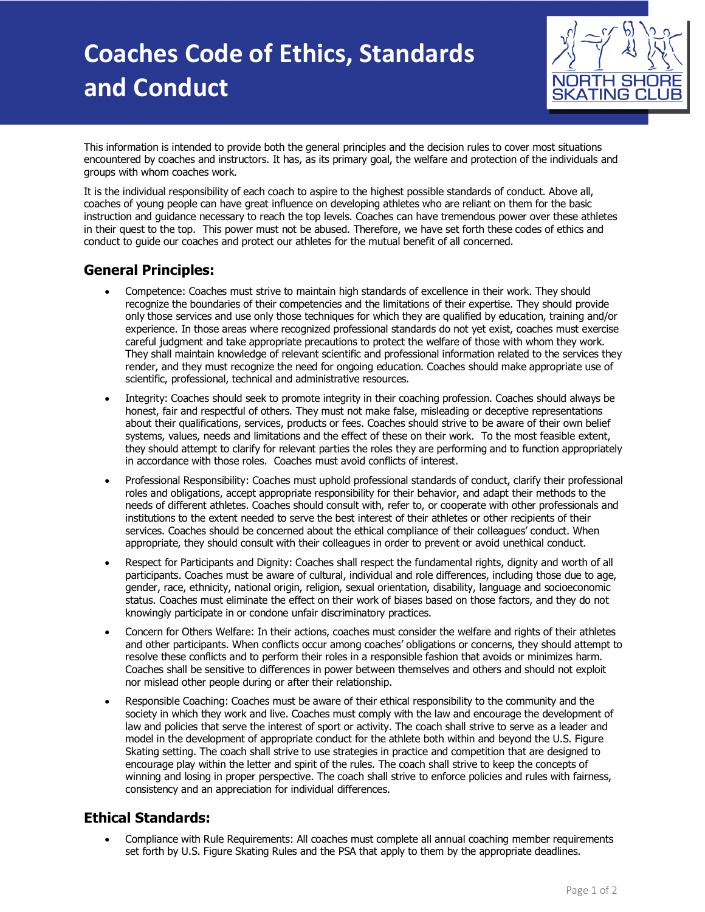# **Coaches Code of Ethics, Standards and Conduct**



This information is intended to provide both the general principles and the decision rules to cover most situations encountered by coaches and instructors. It has, as its primary goal, the welfare and protection of the individuals and groups with whom coaches work.

It is the individual responsibility of each coach to aspire to the highest possible standards of conduct. Above all, coaches of young people can have great influence on developing athletes who are reliant on them for the basic instruction and guidance necessary to reach the top levels. Coaches can have tremendous power over these athletes in their quest to the top. This power must not be abused. Therefore, we have set forth these codes of ethics and conduct to guide our coaches and protect our athletes for the mutual benefit of all concerned.

#### **General Principles:**

- Competence: Coaches must strive to maintain high standards of excellence in their work. They should recognize the boundaries of their competencies and the limitations of their expertise. They should provide only those services and use only those techniques for which they are qualified by education, training and/or experience. In those areas where recognized professional standards do not yet exist, coaches must exercise careful judgment and take appropriate precautions to protect the welfare of those with whom they work. They shall maintain knowledge of relevant scientific and professional information related to the services they render, and they must recognize the need for ongoing education. Coaches should make appropriate use of scientific, professional, technical and administrative resources.
- Integrity: Coaches should seek to promote integrity in their coaching profession. Coaches should always be honest, fair and respectful of others. They must not make false, misleading or deceptive representations about their qualifications, services, products or fees. Coaches should strive to be aware of their own belief systems, values, needs and limitations and the effect of these on their work. To the most feasible extent, they should attempt to clarify for relevant parties the roles they are performing and to function appropriately in accordance with those roles. Coaches must avoid conflicts of interest.
- Professional Responsibility: Coaches must uphold professional standards of conduct, clarify their professional roles and obligations, accept appropriate responsibility for their behavior, and adapt their methods to the needs of different athletes. Coaches should consult with, refer to, or cooperate with other professionals and institutions to the extent needed to serve the best interest of their athletes or other recipients of their services. Coaches should be concerned about the ethical compliance of their colleagues' conduct. When appropriate, they should consult with their colleagues in order to prevent or avoid unethical conduct.
- Respect for Participants and Dignity: Coaches shall respect the fundamental rights, dignity and worth of all participants. Coaches must be aware of cultural, individual and role differences, including those due to age, gender, race, ethnicity, national origin, religion, sexual orientation, disability, language and socioeconomic status. Coaches must eliminate the effect on their work of biases based on those factors, and they do not knowingly participate in or condone unfair discriminatory practices.
- Concern for Others Welfare: In their actions, coaches must consider the welfare and rights of their athletes and other participants. When conflicts occur among coaches' obligations or concerns, they should attempt to resolve these conflicts and to perform their roles in a responsible fashion that avoids or minimizes harm. Coaches shall be sensitive to differences in power between themselves and others and should not exploit nor mislead other people during or after their relationship.
- Responsible Coaching: Coaches must be aware of their ethical responsibility to the community and the society in which they work and live. Coaches must comply with the law and encourage the development of law and policies that serve the interest of sport or activity. The coach shall strive to serve as a leader and model in the development of appropriate conduct for the athlete both within and beyond the U.S. Figure Skating setting. The coach shall strive to use strategies in practice and competition that are designed to encourage play within the letter and spirit of the rules. The coach shall strive to keep the concepts of winning and losing in proper perspective. The coach shall strive to enforce policies and rules with fairness, consistency and an appreciation for individual differences.

### **Ethical Standards:**

• Compliance with Rule Requirements: All coaches must complete all annual coaching member requirements set forth by U.S. Figure Skating Rules and the PSA that apply to them by the appropriate deadlines.